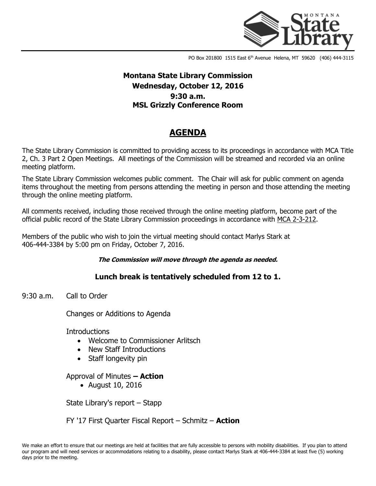

PO Box 201800 1515 East 6<sup>th</sup> Avenue Helena, MT 59620 (406) 444-3115

# **Montana State Library Commission Wednesday, October 12, 2016 9:30 a.m. MSL Grizzly Conference Room**

# **AGENDA**

The State Library Commission is committed to providing access to its proceedings in accordance with MCA Title 2, Ch. 3 Part 2 Open Meetings. All meetings of the Commission will be streamed and recorded via an online meeting platform.

The State Library Commission welcomes public comment. The Chair will ask for public comment on agenda items throughout the meeting from persons attending the meeting in person and those attending the meeting through the online meeting platform.

All comments received, including those received through the online meeting platform, become part of the official public record of the State Library Commission proceedings in accordance with [MCA 2-3-212.](http://leg.mt.gov/bills/mca/2/3/2-3-212.htm)

Members of the public who wish to join the virtual meeting should contact Marlys Stark at 406-444-3384 by 5:00 pm on Friday, October 7, 2016.

#### **The Commission will move through the agenda as needed.**

## **Lunch break is tentatively scheduled from 12 to 1.**

9:30 a.m. Call to Order

Changes or Additions to Agenda

**Introductions** 

- Welcome to Commissioner Arlitsch
- New Staff Introductions
- Staff longevity pin

### Approval of Minutes **– Action**

August 10, 2016

State Library's report – Stapp

FY '17 First Quarter Fiscal Report – Schmitz – **Action**